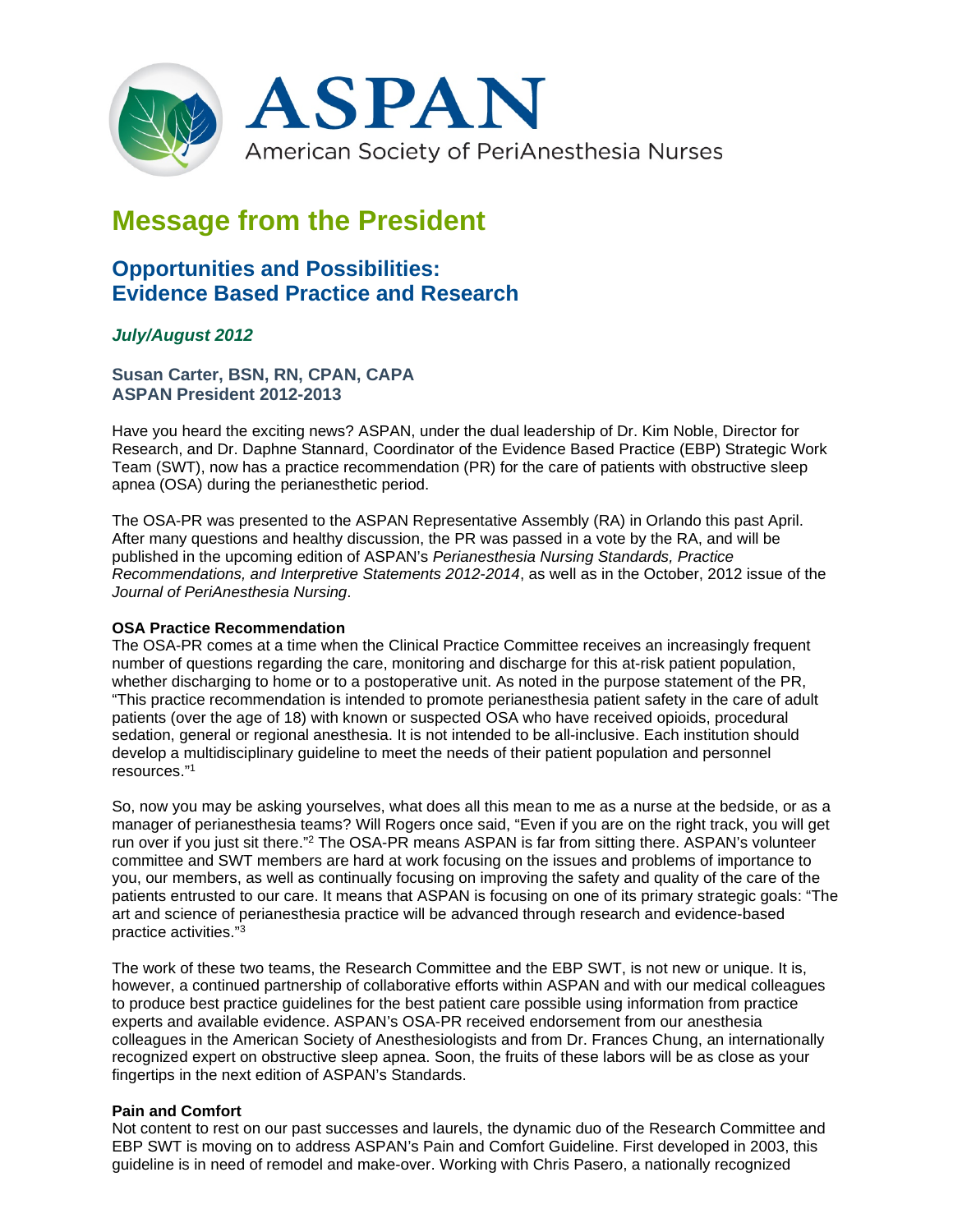

# **Message from the President**

# **Opportunities and Possibilities: Evidence Based Practice and Research**

## *July/August 2012*

**Susan Carter, BSN, RN, CPAN, CAPA ASPAN President 2012-2013**

Have you heard the exciting news? ASPAN, under the dual leadership of Dr. Kim Noble, Director for Research, and Dr. Daphne Stannard, Coordinator of the Evidence Based Practice (EBP) Strategic Work Team (SWT), now has a practice recommendation (PR) for the care of patients with obstructive sleep apnea (OSA) during the perianesthetic period.

The OSA-PR was presented to the ASPAN Representative Assembly (RA) in Orlando this past April. After many questions and healthy discussion, the PR was passed in a vote by the RA, and will be published in the upcoming edition of ASPAN's *Perianesthesia Nursing Standards, Practice Recommendations, and Interpretive Statements 2012-2014*, as well as in the October, 2012 issue of the *Journal of PeriAnesthesia Nursing*.

### **OSA Practice Recommendation**

The OSA-PR comes at a time when the Clinical Practice Committee receives an increasingly frequent number of questions regarding the care, monitoring and discharge for this at-risk patient population, whether discharging to home or to a postoperative unit. As noted in the purpose statement of the PR, "This practice recommendation is intended to promote perianesthesia patient safety in the care of adult patients (over the age of 18) with known or suspected OSA who have received opioids, procedural sedation, general or regional anesthesia. It is not intended to be all-inclusive. Each institution should develop a multidisciplinary guideline to meet the needs of their patient population and personnel resources."1

So, now you may be asking yourselves, what does all this mean to me as a nurse at the bedside, or as a manager of perianesthesia teams? Will Rogers once said, "Even if you are on the right track, you will get run over if you just sit there."<sup>2</sup> The OSA-PR means ASPAN is far from sitting there. ASPAN's volunteer committee and SWT members are hard at work focusing on the issues and problems of importance to you, our members, as well as continually focusing on improving the safety and quality of the care of the patients entrusted to our care. It means that ASPAN is focusing on one of its primary strategic goals: "The art and science of perianesthesia practice will be advanced through research and evidence-based practice activities."3

The work of these two teams, the Research Committee and the EBP SWT, is not new or unique. It is, however, a continued partnership of collaborative efforts within ASPAN and with our medical colleagues to produce best practice guidelines for the best patient care possible using information from practice experts and available evidence. ASPAN's OSA-PR received endorsement from our anesthesia colleagues in the American Society of Anesthesiologists and from Dr. Frances Chung, an internationally recognized expert on obstructive sleep apnea. Soon, the fruits of these labors will be as close as your fingertips in the next edition of ASPAN's Standards.

### **Pain and Comfort**

Not content to rest on our past successes and laurels, the dynamic duo of the Research Committee and EBP SWT is moving on to address ASPAN's Pain and Comfort Guideline. First developed in 2003, this guideline is in need of remodel and make-over. Working with Chris Pasero, a nationally recognized